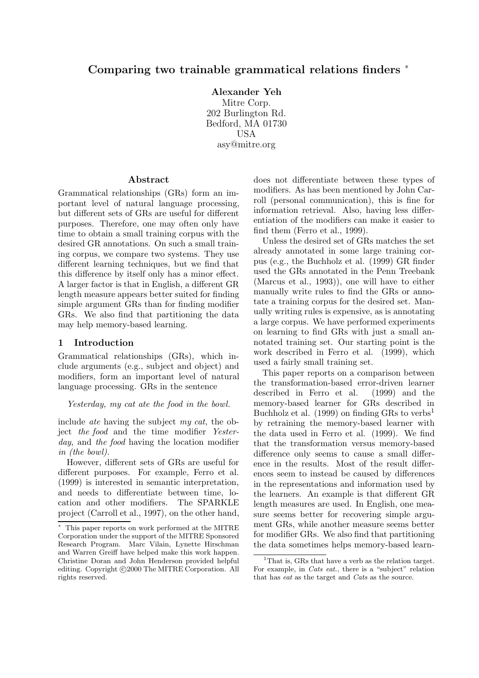# **Comparing two trainable grammatical relations finders** <sup>∗</sup>

**Alexander Yeh**

Mitre Corp. 202 Burlington Rd. Bedford, MA 01730 USA asy@mitre.org

### **Abstract**

Grammatical relationships (GRs) form an important level of natural language processing, but different sets of GRs are useful for different purposes. Therefore, one may often only have time to obtain a small training corpus with the desired GR annotations. On such a small training corpus, we compare two systems. They use different learning techniques, but we find that this difference by itself only has a minor effect. A larger factor is that in English, a different GR length measure appears better suited for finding simple argument GRs than for finding modifier GRs. We also find that partitioning the data may help memory-based learning.

### **1 Introduction**

Grammatical relationships (GRs), which include arguments (e.g., subject and object) and modifiers, form an important level of natural language processing. GRs in the sentence

*Yesterday, my cat ate the food in the bowl.*

include *ate* having the subject *my cat*, the object *the food* and the time modifier *Yesterday*, and *the food* having the location modifier *in (the bowl)*.

However, different sets of GRs are useful for different purposes. For example, Ferro et al. (1999) is interested in semantic interpretation, and needs to differentiate between time, location and other modifiers. The SPARKLE project (Carroll et al., 1997), on the other hand,

does not differentiate between these types of modifiers. As has been mentioned by John Carroll (personal communication), this is fine for information retrieval. Also, having less differentiation of the modifiers can make it easier to find them (Ferro et al., 1999).

Unless the desired set of GRs matches the set already annotated in some large training corpus (e.g., the Buchholz et al. (1999) GR finder used the GRs annotated in the Penn Treebank (Marcus et al., 1993)), one will have to either manually write rules to find the GRs or annotate a training corpus for the desired set. Manually writing rules is expensive, as is annotating a large corpus. We have performed experiments on learning to find GRs with just a small annotated training set. Our starting point is the work described in Ferro et al. (1999), which used a fairly small training set.

This paper reports on a comparison between the transformation-based error-driven learner described in Ferro et al. (1999) and the memory-based learner for GRs described in Buchholz et al. (1999) on finding GRs to verbs<sup>1</sup> by retraining the memory-based learner with the data used in Ferro et al. (1999). We find that the transformation versus memory-based difference only seems to cause a small difference in the results. Most of the result differences seem to instead be caused by differences in the representations and information used by the learners. An example is that different GR length measures are used. In English, one measure seems better for recovering simple argument GRs, while another measure seems better for modifier GRs. We also find that partitioning the data sometimes helps memory-based learn-

<sup>∗</sup> This paper reports on work performed at the MITRE Corporation under the support of the MITRE Sponsored Research Program. Marc Vilain, Lynette Hirschman and Warren Greiff have helped make this work happen. Christine Doran and John Henderson provided helpful editing. Copyright  $\odot$ 2000 The MITRE Corporation. All rights reserved.

<sup>&</sup>lt;sup>1</sup>That is, GRs that have a verb as the relation target. For example, in *Cats eat.*, there is a "subject" relation that has eat as the target and Cats as the source.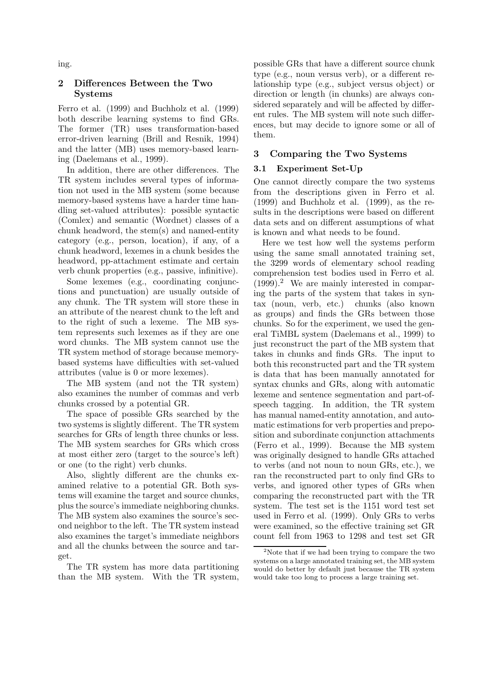ing.

### **2 Differences Between the Two Systems**

Ferro et al. (1999) and Buchholz et al. (1999) both describe learning systems to find GRs. The former (TR) uses transformation-based error-driven learning (Brill and Resnik, 1994) and the latter (MB) uses memory-based learning (Daelemans et al., 1999).

In addition, there are other differences. The TR system includes several types of information not used in the MB system (some because memory-based systems have a harder time handling set-valued attributes): possible syntactic (Comlex) and semantic (Wordnet) classes of a chunk headword, the stem(s) and named-entity category (e.g., person, location), if any, of a chunk headword, lexemes in a chunk besides the headword, pp-attachment estimate and certain verb chunk properties (e.g., passive, infinitive).

Some lexemes (e.g., coordinating conjunctions and punctuation) are usually outside of any chunk. The TR system will store these in an attribute of the nearest chunk to the left and to the right of such a lexeme. The MB system represents such lexemes as if they are one word chunks. The MB system cannot use the TR system method of storage because memorybased systems have difficulties with set-valued attributes (value is 0 or more lexemes).

The MB system (and not the TR system) also examines the number of commas and verb chunks crossed by a potential GR.

The space of possible GRs searched by the two systems is slightly different. The TR system searches for GRs of length three chunks or less. The MB system searches for GRs which cross at most either zero (target to the source's left) or one (to the right) verb chunks.

Also, slightly different are the chunks examined relative to a potential GR. Both systems will examine the target and source chunks, plus the source's immediate neighboring chunks. The MB system also examines the source's second neighbor to the left. The TR system instead also examines the target's immediate neighbors and all the chunks between the source and target.

The TR system has more data partitioning than the MB system. With the TR system, possible GRs that have a different source chunk type (e.g., noun versus verb), or a different relationship type (e.g., subject versus object) or direction or length (in chunks) are always considered separately and will be affected by different rules. The MB system will note such differences, but may decide to ignore some or all of them.

## **3 Comparing the Two Systems**

## **3.1 Experiment Set-Up**

One cannot directly compare the two systems from the descriptions given in Ferro et al. (1999) and Buchholz et al. (1999), as the results in the descriptions were based on different data sets and on different assumptions of what is known and what needs to be found.

Here we test how well the systems perform using the same small annotated training set, the 3299 words of elementary school reading comprehension test bodies used in Ferro et al.  $(1999).<sup>2</sup>$  We are mainly interested in comparing the parts of the system that takes in syntax (noun, verb, etc.) chunks (also known as groups) and finds the GRs between those chunks. So for the experiment, we used the general TiMBL system (Daelemans et al., 1999) to just reconstruct the part of the MB system that takes in chunks and finds GRs. The input to both this reconstructed part and the TR system is data that has been manually annotated for syntax chunks and GRs, along with automatic lexeme and sentence segmentation and part-ofspeech tagging. In addition, the TR system has manual named-entity annotation, and automatic estimations for verb properties and preposition and subordinate conjunction attachments (Ferro et al., 1999). Because the MB system was originally designed to handle GRs attached to verbs (and not noun to noun GRs, etc.), we ran the reconstructed part to only find GRs to verbs, and ignored other types of GRs when comparing the reconstructed part with the TR system. The test set is the 1151 word test set used in Ferro et al. (1999). Only GRs to verbs were examined, so the effective training set GR count fell from 1963 to 1298 and test set GR

 $2$ Note that if we had been trying to compare the two systems on a large annotated training set, the MB system would do better by default just because the TR system would take too long to process a large training set.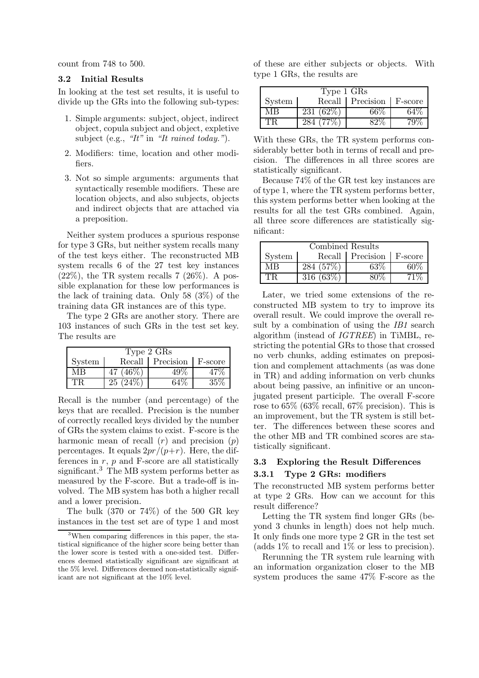count from 748 to 500.

#### **3.2 Initial Results**

In looking at the test set results, it is useful to divide up the GRs into the following sub-types:

- 1. Simple arguments: subject, object, indirect object, copula subject and object, expletive subject (e.g., *"It"* in *"It rained today."*).
- 2. Modifiers: time, location and other modifiers.
- 3. Not so simple arguments: arguments that syntactically resemble modifiers. These are location objects, and also subjects, objects and indirect objects that are attached via a preposition.

Neither system produces a spurious response for type 3 GRs, but neither system recalls many of the test keys either. The reconstructed MB system recalls 6 of the 27 test key instances  $(22\%)$ , the TR system recalls 7  $(26\%)$ . A possible explanation for these low performances is the lack of training data. Only 58 (3%) of the training data GR instances are of this type.

The type 2 GRs are another story. There are 103 instances of such GRs in the test set key. The results are

| Type 2 GRs |           |                  |         |  |  |
|------------|-----------|------------------|---------|--|--|
| System     |           | Recall Precision | F-score |  |  |
| MВ         | $46\%$    |                  |         |  |  |
|            | 25 (24\%) |                  | 35%     |  |  |

Recall is the number (and percentage) of the keys that are recalled. Precision is the number of correctly recalled keys divided by the number of GRs the system claims to exist. F-score is the harmonic mean of recall  $(r)$  and precision  $(p)$ percentages. It equals  $2pr/(p+r)$ . Here, the differences in  $r$ ,  $p$  and  $F$ -score are all statistically significant.<sup>3</sup> The MB system performs better as measured by the F-score. But a trade-off is involved. The MB system has both a higher recall and a lower precision.

The bulk  $(370 \text{ or } 74\%)$  of the 500 GR key instances in the test set are of type 1 and most

of these are either subjects or objects. With type 1 GRs, the results are

| Type 1 GRs |            |           |         |  |  |
|------------|------------|-----------|---------|--|--|
| System     | Recall     | Precision | F-score |  |  |
| MВ         | 231 (62\%) | 66%       |         |  |  |
| ĽК         |            |           |         |  |  |

With these GRs, the TR system performs considerably better both in terms of recall and precision. The differences in all three scores are statistically significant.

Because 74% of the GR test key instances are of type 1, where the TR system performs better, this system performs better when looking at the results for all the test GRs combined. Again, all three score differences are statistically significant:

| Combined Results |              |                              |     |  |  |
|------------------|--------------|------------------------------|-----|--|--|
| System           |              | Recall   Precision   F-score |     |  |  |
| MВ               | 284 (57\%)   | 63%                          | 60% |  |  |
| TR.              | 316 $(63\%)$ |                              | 71% |  |  |

Later, we tried some extensions of the reconstructed MB system to try to improve its overall result. We could improve the overall result by a combination of using the *IB1* search algorithm (instead of *IGTREE*) in TiMBL, restricting the potential GRs to those that crossed no verb chunks, adding estimates on preposition and complement attachments (as was done in TR) and adding information on verb chunks about being passive, an infinitive or an unconjugated present participle. The overall F-score rose to 65% (63% recall, 67% precision). This is an improvement, but the TR system is still better. The differences between these scores and the other MB and TR combined scores are statistically significant.

## **3.3 Exploring the Result Differences 3.3.1 Type 2 GRs: modifiers**

The reconstructed MB system performs better at type 2 GRs. How can we account for this result difference?

Letting the TR system find longer GRs (beyond 3 chunks in length) does not help much. It only finds one more type 2 GR in the test set (adds  $1\%$  to recall and  $1\%$  or less to precision).

Rerunning the TR system rule learning with an information organization closer to the MB system produces the same 47% F-score as the

<sup>3</sup>When comparing differences in this paper, the statistical significance of the higher score being better than the lower score is tested with a one-sided test. Differences deemed statistically significant are significant at the 5% level. Differences deemed non-statistically significant are not significant at the 10% level.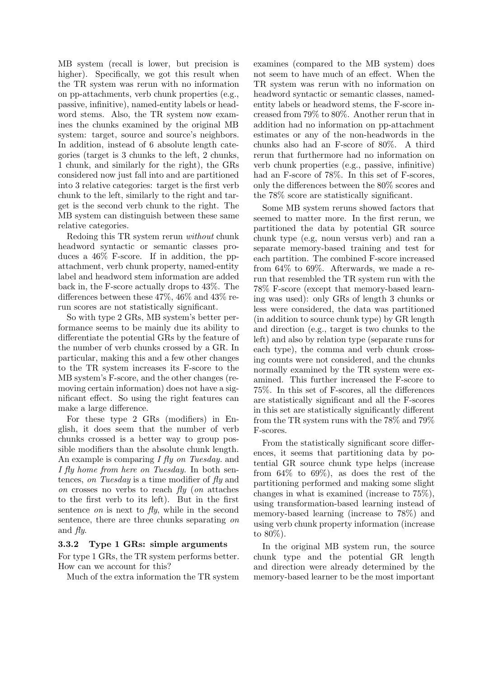MB system (recall is lower, but precision is higher). Specifically, we got this result when the TR system was rerun with no information on pp-attachments, verb chunk properties (e.g., passive, infinitive), named-entity labels or headword stems. Also, the TR system now examines the chunks examined by the original MB system: target, source and source's neighbors. In addition, instead of 6 absolute length categories (target is 3 chunks to the left, 2 chunks, 1 chunk, and similarly for the right), the GRs considered now just fall into and are partitioned into 3 relative categories: target is the first verb chunk to the left, similarly to the right and target is the second verb chunk to the right. The MB system can distinguish between these same relative categories.

Redoing this TR system rerun *without* chunk headword syntactic or semantic classes produces a 46% F-score. If in addition, the ppattachment, verb chunk property, named-entity label and headword stem information are added back in, the F-score actually drops to 43%. The differences between these 47%, 46% and 43% rerun scores are not statistically significant.

So with type 2 GRs, MB system's better performance seems to be mainly due its ability to differentiate the potential GRs by the feature of the number of verb chunks crossed by a GR. In particular, making this and a few other changes to the TR system increases its F-score to the MB system's F-score, and the other changes (removing certain information) does not have a significant effect. So using the right features can make a large difference.

For these type 2 GRs (modifiers) in English, it does seem that the number of verb chunks crossed is a better way to group possible modifiers than the absolute chunk length. An example is comparing *I fly on Tuesday.* and *I fly home from here on Tuesday.* In both sentences, *on Tuesday* is a time modifier of *fly* and *on* crosses no verbs to reach *fly* (*on* attaches to the first verb to its left). But in the first sentence *on* is next to *fly*, while in the second sentence, there are three chunks separating *on* and *fly*.

## **3.3.2 Type 1 GRs: simple arguments**

For type 1 GRs, the TR system performs better. How can we account for this?

Much of the extra information the TR system

examines (compared to the MB system) does not seem to have much of an effect. When the TR system was rerun with no information on headword syntactic or semantic classes, namedentity labels or headword stems, the F-score increased from 79% to 80%. Another rerun that in addition had no information on pp-attachment estimates or any of the non-headwords in the chunks also had an F-score of 80%. A third rerun that furthermore had no information on verb chunk properties (e.g., passive, infinitive) had an F-score of 78%. In this set of F-scores, only the differences between the 80% scores and the 78% score are statistically significant.

Some MB system reruns showed factors that seemed to matter more. In the first rerun, we partitioned the data by potential GR source chunk type (e.g, noun versus verb) and ran a separate memory-based training and test for each partition. The combined F-score increased from 64% to 69%. Afterwards, we made a rerun that resembled the TR system run with the 78% F-score (except that memory-based learning was used): only GRs of length 3 chunks or less were considered, the data was partitioned (in addition to source chunk type) by GR length and direction (e.g., target is two chunks to the left) and also by relation type (separate runs for each type), the comma and verb chunk crossing counts were not considered, and the chunks normally examined by the TR system were examined. This further increased the F-score to 75%. In this set of F-scores, all the differences are statistically significant and all the F-scores in this set are statistically significantly different from the TR system runs with the 78% and 79% F-scores.

From the statistically significant score differences, it seems that partitioning data by potential GR source chunk type helps (increase from  $64\%$  to  $69\%$ ), as does the rest of the partitioning performed and making some slight changes in what is examined (increase to 75%), using transformation-based learning instead of memory-based learning (increase to 78%) and using verb chunk property information (increase to 80%).

In the original MB system run, the source chunk type and the potential GR length and direction were already determined by the memory-based learner to be the most important